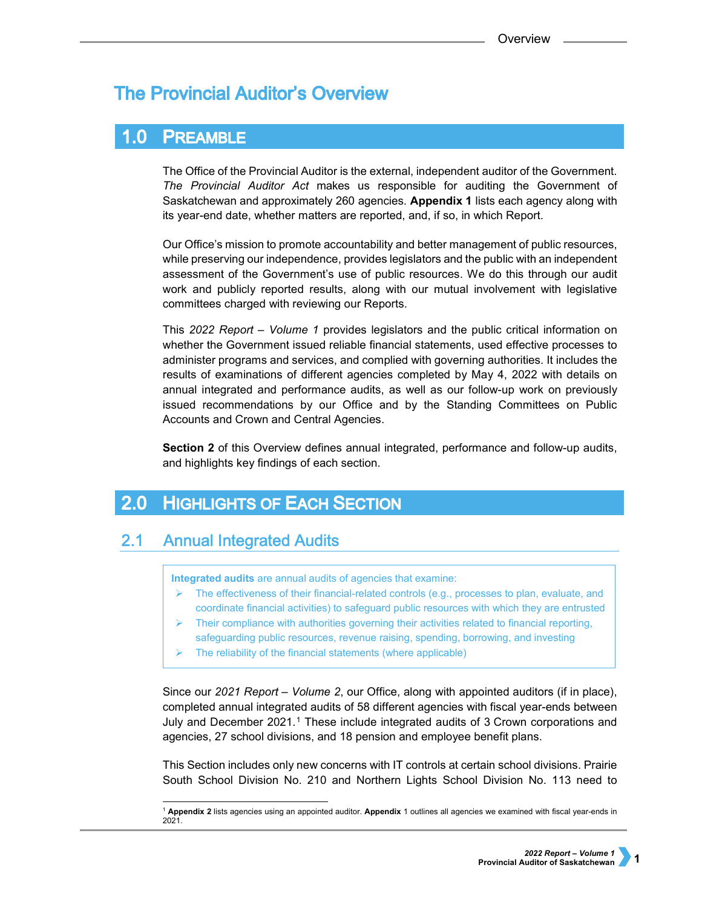# **The Provincial Auditor's Overview**

#### $1.0$ **PREAMBLE**

The Office of the Provincial Auditor is the external, independent auditor of the Government. *The Provincial Auditor Act* makes us responsible for auditing the Government of Saskatchewan and approximately 260 agencies. **Appendix 1** lists each agency along with its year-end date, whether matters are reported, and, if so, in which Report.

Our Office's mission to promote accountability and better management of public resources, while preserving our independence, provides legislators and the public with an independent assessment of the Government's use of public resources. We do this through our audit work and publicly reported results, along with our mutual involvement with legislative committees charged with reviewing our Reports.

This *2022 Report – Volume 1* provides legislators and the public critical information on whether the Government issued reliable financial statements, used effective processes to administer programs and services, and complied with governing authorities. It includes the results of examinations of different agencies completed by May 4, 2022 with details on annual integrated and performance audits, as well as our follow-up work on previously issued recommendations by our Office and by the Standing Committees on Public Accounts and Crown and Central Agencies.

**Section 2** of this Overview defines annual integrated, performance and follow-up audits, and highlights key findings of each section.

#### **HIGHLIGHTS OF EACH SECTION**  $2.0$

#### **Annual Integrated Audits**  $2.1$

**Integrated audits** are annual audits of agencies that examine:

- The effectiveness of their financial-related controls (e.g., processes to plan, evaluate, and coordinate financial activities) to safeguard public resources with which they are entrusted
- Their compliance with authorities governing their activities related to financial reporting, safeguarding public resources, revenue raising, spending, borrowing, and investing
- The reliability of the financial statements (where applicable)

Since our *2021 Report – Volume 2*, our Office, along with appointed auditors (if in place), completed annual integrated audits of 58 different agencies with fiscal year-ends between July and December 2021.[1](#page-0-0) These include integrated audits of 3 Crown corporations and agencies, 27 school divisions, and 18 pension and employee benefit plans.

This Section includes only new concerns with IT controls at certain school divisions. Prairie South School Division No. 210 and Northern Lights School Division No. 113 need to

<span id="page-0-0"></span><sup>1</sup> **Appendix 2** lists agencies using an appointed auditor. **Appendix** 1 outlines all agencies we examined with fiscal year-ends in 2021.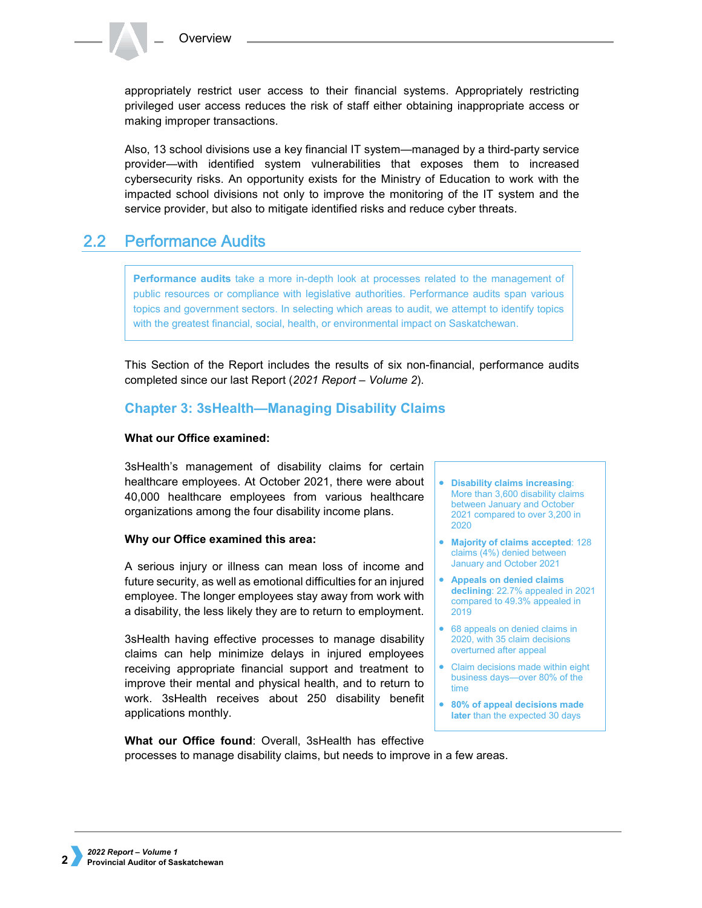appropriately restrict user access to their financial systems. Appropriately restricting privileged user access reduces the risk of staff either obtaining inappropriate access or making improper transactions.

Also, 13 school divisions use a key financial IT system—managed by a third-party service provider—with identified system vulnerabilities that exposes them to increased cybersecurity risks. An opportunity exists for the Ministry of Education to work with the impacted school divisions not only to improve the monitoring of the IT system and the service provider, but also to mitigate identified risks and reduce cyber threats.

#### $2.2^{\circ}$ **Performance Audits**

**Performance audits** take a more in-depth look at processes related to the management of public resources or compliance with legislative authorities. Performance audits span various topics and government sectors. In selecting which areas to audit, we attempt to identify topics with the greatest financial, social, health, or environmental impact on Saskatchewan.

This Section of the Report includes the results of six non-financial, performance audits completed since our last Report (*2021 Report – Volume 2*).

## **Chapter 3: 3sHealth—Managing Disability Claims**

### **What our Office examined:**

3sHealth's management of disability claims for certain healthcare employees. At October 2021, there were about 40,000 healthcare employees from various healthcare organizations among the four disability income plans.

### **Why our Office examined this area:**

A serious injury or illness can mean loss of income and future security, as well as emotional difficulties for an injured employee. The longer employees stay away from work with a disability, the less likely they are to return to employment.

3sHealth having effective processes to manage disability claims can help minimize delays in injured employees receiving appropriate financial support and treatment to improve their mental and physical health, and to return to work. 3sHealth receives about 250 disability benefit applications monthly.

- **Disability claims increasing**: More than 3,600 disability claims between January and October 2021 compared to over 3,200 in 2020
- **Majority of claims accepted**: 128 claims (4%) denied between January and October 2021
- **Appeals on denied claims declining**: 22.7% appealed in 2021 compared to 49.3% appealed in 2019
- 68 appeals on denied claims in 2020, with 35 claim decisions overturned after appeal
- Claim decisions made within eight business days—over 80% of the time
- **80% of appeal decisions made later** than the expected 30 days

**What our Office found**: Overall, 3sHealth has effective processes to manage disability claims, but needs to improve in a few areas.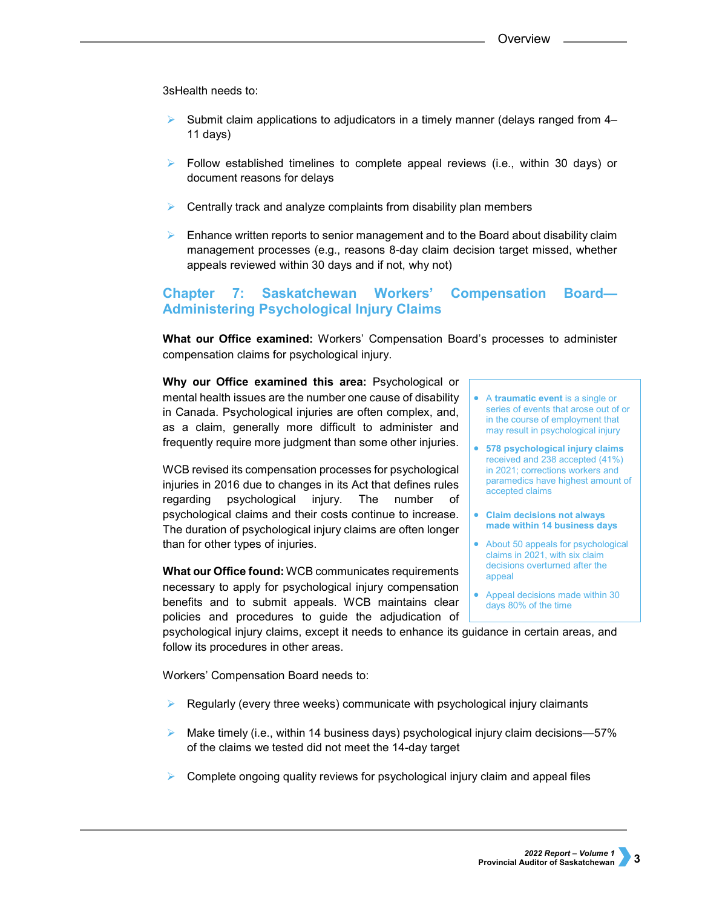3sHealth needs to:

- Submit claim applications to adjudicators in a timely manner (delays ranged from 4– 11 days)
- $\triangleright$  Follow established timelines to complete appeal reviews (i.e., within 30 days) or document reasons for delays
- Centrally track and analyze complaints from disability plan members
- $\triangleright$  Enhance written reports to senior management and to the Board about disability claim management processes (e.g., reasons 8-day claim decision target missed, whether appeals reviewed within 30 days and if not, why not)

## **Chapter 7: Saskatchewan Workers' Compensation Board— Administering Psychological Injury Claims**

**What our Office examined:** Workers' Compensation Board's processes to administer compensation claims for psychological injury.

**Why our Office examined this area:** Psychological or mental health issues are the number one cause of disability in Canada. Psychological injuries are often complex, and, as a claim, generally more difficult to administer and frequently require more judgment than some other injuries.

WCB revised its compensation processes for psychological injuries in 2016 due to changes in its Act that defines rules regarding psychological injury. The number of psychological claims and their costs continue to increase. The duration of psychological injury claims are often longer than for other types of injuries.

**What our Office found:** WCB communicates requirements necessary to apply for psychological injury compensation benefits and to submit appeals. WCB maintains clear policies and procedures to guide the adjudication of

- A **traumatic event** is a single or series of events that arose out of or in the course of employment that may result in psychological injury
- **578 psychological injury claims** received and 238 accepted (41%) in 2021; corrections workers and paramedics have highest amount of accepted claims
- **Claim decisions not always made within 14 business days**
- About 50 appeals for psychological claims in 2021, with six claim decisions overturned after the appeal
- Appeal decisions made within 30 days 80% of the time

psychological injury claims, except it needs to enhance its guidance in certain areas, and follow its procedures in other areas.

Workers' Compensation Board needs to:

- Regularly (every three weeks) communicate with psychological injury claimants
- Make timely (i.e., within 14 business days) psychological injury claim decisions—57% of the claims we tested did not meet the 14-day target
- Complete ongoing quality reviews for psychological injury claim and appeal files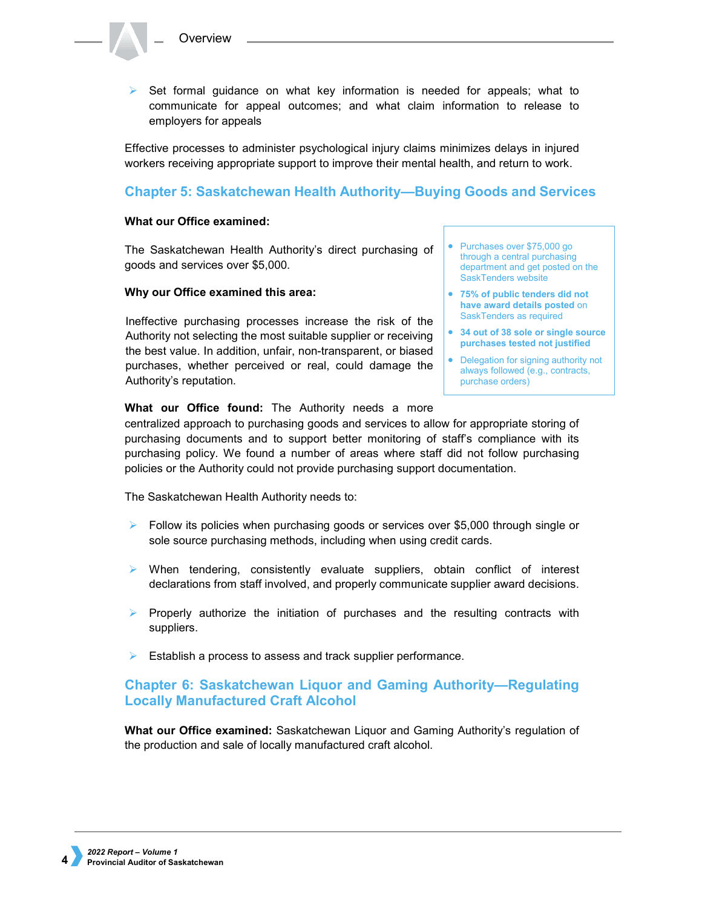$\triangleright$  Set formal quidance on what key information is needed for appeals; what to communicate for appeal outcomes; and what claim information to release to employers for appeals

Effective processes to administer psychological injury claims minimizes delays in injured workers receiving appropriate support to improve their mental health, and return to work.

## **Chapter 5: Saskatchewan Health Authority—Buying Goods and Services**

#### **What our Office examined:**

The Saskatchewan Health Authority's direct purchasing of goods and services over \$5,000.

#### **Why our Office examined this area:**

Ineffective purchasing processes increase the risk of the Authority not selecting the most suitable supplier or receiving the best value. In addition, unfair, non-transparent, or biased purchases, whether perceived or real, could damage the Authority's reputation.

- Purchases over \$75,000 go through a central purchasing department and get posted on the SaskTenders website
- **75% of public tenders did not have award details posted** on SaskTenders as required
- **34 out of 38 sole or single source purchases tested not justified**
- Delegation for signing authority not always followed (e.g., contracts, purchase orders)

### **What our Office found:** The Authority needs a more

centralized approach to purchasing goods and services to allow for appropriate storing of purchasing documents and to support better monitoring of staff's compliance with its purchasing policy. We found a number of areas where staff did not follow purchasing policies or the Authority could not provide purchasing support documentation.

The Saskatchewan Health Authority needs to:

- $\triangleright$  Follow its policies when purchasing goods or services over \$5,000 through single or sole source purchasing methods, including when using credit cards.
- When tendering, consistently evaluate suppliers, obtain conflict of interest declarations from staff involved, and properly communicate supplier award decisions.
- $\triangleright$  Properly authorize the initiation of purchases and the resulting contracts with suppliers.
- Establish a process to assess and track supplier performance.

## **Chapter 6: Saskatchewan Liquor and Gaming Authority—Regulating Locally Manufactured Craft Alcohol**

**What our Office examined:** Saskatchewan Liquor and Gaming Authority's regulation of the production and sale of locally manufactured craft alcohol.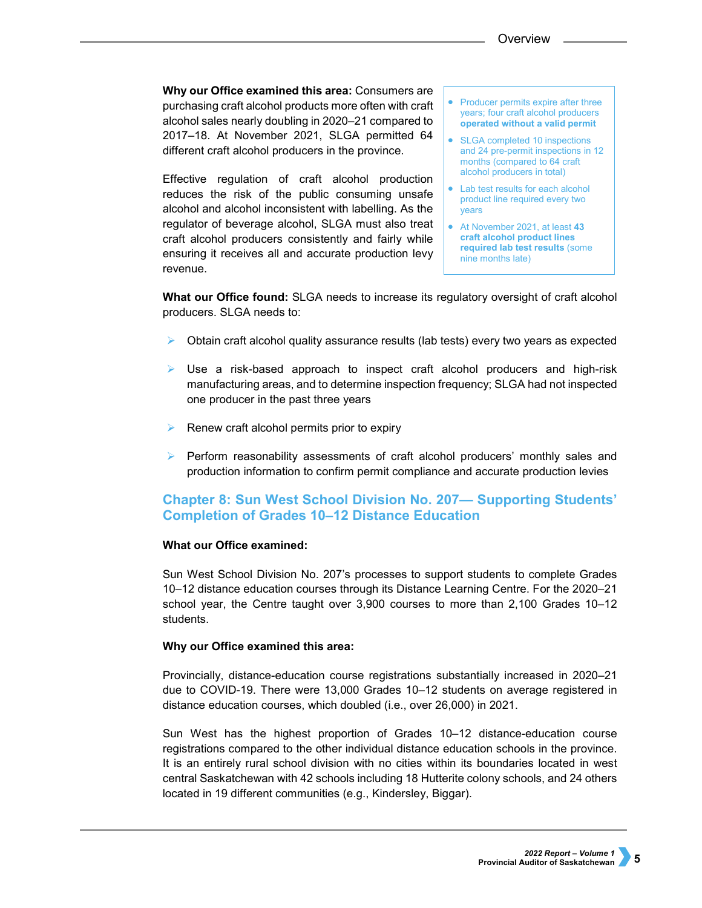**Why our Office examined this area:** Consumers are purchasing craft alcohol products more often with craft alcohol sales nearly doubling in 2020–21 compared to 2017–18. At November 2021, SLGA permitted 64 different craft alcohol producers in the province.

Effective regulation of craft alcohol production reduces the risk of the public consuming unsafe alcohol and alcohol inconsistent with labelling. As the regulator of beverage alcohol, SLGA must also treat craft alcohol producers consistently and fairly while ensuring it receives all and accurate production levy revenue.

• Producer permits expire after three years; four craft alcohol producers **operated without a valid permit** 

- SLGA completed 10 inspections and 24 pre-permit inspections in 12 months (compared to 64 craft alcohol producers in total)
- Lab test results for each alcohol product line required every two years
- At November 2021, at least **43 craft alcohol product lines required lab test results** (some nine months late)

**What our Office found:** SLGA needs to increase its regulatory oversight of craft alcohol producers. SLGA needs to:

- Obtain craft alcohol quality assurance results (lab tests) every two years as expected
- $\triangleright$  Use a risk-based approach to inspect craft alcohol producers and high-risk manufacturing areas, and to determine inspection frequency; SLGA had not inspected one producer in the past three years
- $\triangleright$  Renew craft alcohol permits prior to expiry
- Perform reasonability assessments of craft alcohol producers' monthly sales and production information to confirm permit compliance and accurate production levies

## **Chapter 8: Sun West School Division No. 207— Supporting Students' Completion of Grades 10–12 Distance Education**

### **What our Office examined:**

Sun West School Division No. 207's processes to support students to complete Grades 10–12 distance education courses through its Distance Learning Centre. For the 2020–21 school year, the Centre taught over 3,900 courses to more than 2,100 Grades 10–12 students.

### **Why our Office examined this area:**

Provincially, distance-education course registrations substantially increased in 2020–21 due to COVID-19. There were 13,000 Grades 10–12 students on average registered in distance education courses, which doubled (i.e., over 26,000) in 2021.

Sun West has the highest proportion of Grades 10–12 distance-education course registrations compared to the other individual distance education schools in the province. It is an entirely rural school division with no cities within its boundaries located in west central Saskatchewan with 42 schools including 18 Hutterite colony schools, and 24 others located in 19 different communities (e.g., Kindersley, Biggar).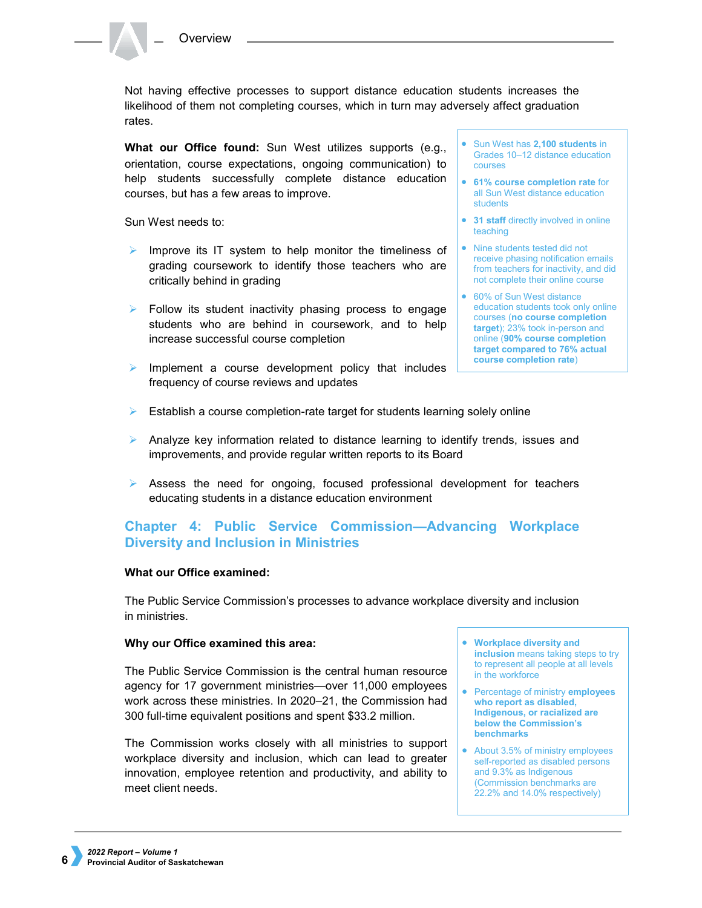Not having effective processes to support distance education students increases the likelihood of them not completing courses, which in turn may adversely affect graduation rates.

**What our Office found:** Sun West utilizes supports (e.g., orientation, course expectations, ongoing communication) to help students successfully complete distance education courses, but has a few areas to improve.

Sun West needs to:

- $\triangleright$  Improve its IT system to help monitor the timeliness of grading coursework to identify those teachers who are critically behind in grading
- Follow its student inactivity phasing process to engage students who are behind in coursework, and to help increase successful course completion
- $\triangleright$  Implement a course development policy that includes frequency of course reviews and updates
- Sun West has **2,100 students** in Grades 10–12 distance education courses
- **61% course completion rate** for all Sun West distance education students
- **31 staff** directly involved in online teaching
- Nine students tested did not receive phasing notification emails from teachers for inactivity, and did not complete their online course
- 60% of Sun West distance education students took only online courses (**no course completion target**); 23% took in-person and online (**90% course completion target compared to 76% actual course completion rate**)
- $\triangleright$  Establish a course completion-rate target for students learning solely online
- Analyze key information related to distance learning to identify trends, issues and improvements, and provide regular written reports to its Board
- $\triangleright$  Assess the need for ongoing, focused professional development for teachers educating students in a distance education environment

## **Chapter 4: Public Service Commission—Advancing Workplace Diversity and Inclusion in Ministries**

### **What our Office examined:**

The Public Service Commission's processes to advance workplace diversity and inclusion in ministries.

### **Why our Office examined this area:**

The Public Service Commission is the central human resource agency for 17 government ministries—over 11,000 employees work across these ministries. In 2020–21, the Commission had 300 full-time equivalent positions and spent \$33.2 million.

The Commission works closely with all ministries to support workplace diversity and inclusion, which can lead to greater innovation, employee retention and productivity, and ability to meet client needs.

- **Workplace diversity and inclusion** means taking steps to try to represent all people at all levels in the workforce
- Percentage of ministry **employees who report as disabled, Indigenous, or racialized are below the Commission's benchmarks**
- About 3.5% of ministry employees self-reported as disabled persons and 9.3% as Indigenous (Commission benchmarks are 22.2% and 14.0% respectively)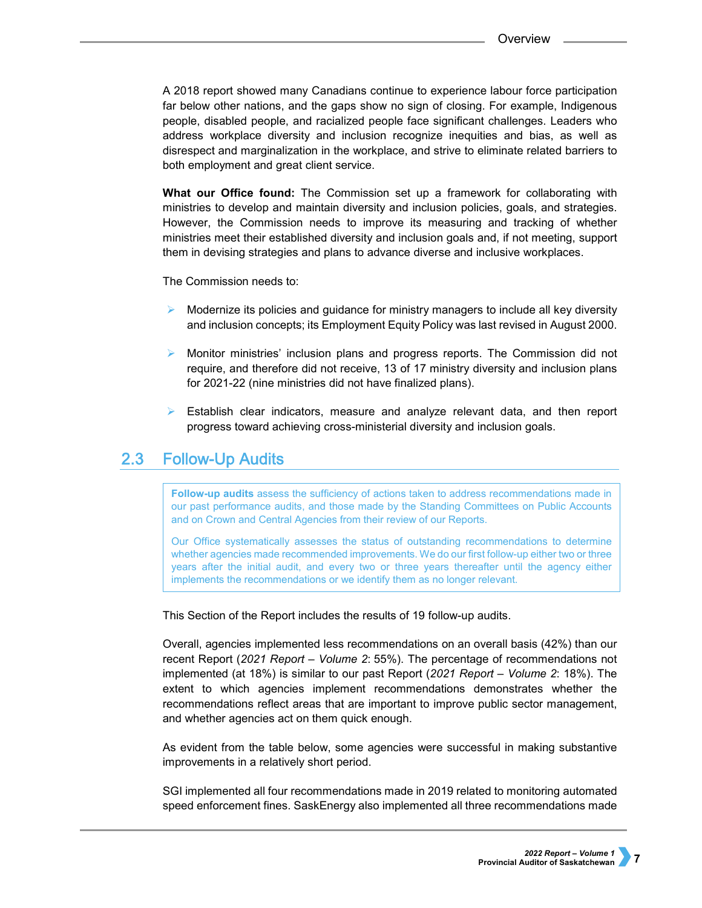A 2018 report showed many Canadians continue to experience labour force participation far below other nations, and the gaps show no sign of closing. For example, Indigenous people, disabled people, and racialized people face significant challenges. Leaders who address workplace diversity and inclusion recognize inequities and bias, as well as disrespect and marginalization in the workplace, and strive to eliminate related barriers to both employment and great client service.

**What our Office found:** The Commission set up a framework for collaborating with ministries to develop and maintain diversity and inclusion policies, goals, and strategies. However, the Commission needs to improve its measuring and tracking of whether ministries meet their established diversity and inclusion goals and, if not meeting, support them in devising strategies and plans to advance diverse and inclusive workplaces.

The Commission needs to:

- Modernize its policies and guidance for ministry managers to include all key diversity and inclusion concepts; its Employment Equity Policy was last revised in August 2000.
- Monitor ministries' inclusion plans and progress reports. The Commission did not require, and therefore did not receive, 13 of 17 ministry diversity and inclusion plans for 2021-22 (nine ministries did not have finalized plans).
- $\triangleright$  Establish clear indicators, measure and analyze relevant data, and then report progress toward achieving cross-ministerial diversity and inclusion goals.

#### $2.3<sub>1</sub>$ **Follow-Up Audits**

**Follow-up audits** assess the sufficiency of actions taken to address recommendations made in our past performance audits, and those made by the Standing Committees on Public Accounts and on Crown and Central Agencies from their review of our Reports.

Our Office systematically assesses the status of outstanding recommendations to determine whether agencies made recommended improvements. We do our first follow-up either two or three years after the initial audit, and every two or three years thereafter until the agency either implements the recommendations or we identify them as no longer relevant.

This Section of the Report includes the results of 19 follow-up audits.

Overall, agencies implemented less recommendations on an overall basis (42%) than our recent Report (*2021 Report – Volume 2*: 55%). The percentage of recommendations not implemented (at 18%) is similar to our past Report (*2021 Report – Volume 2*: 18%). The extent to which agencies implement recommendations demonstrates whether the recommendations reflect areas that are important to improve public sector management, and whether agencies act on them quick enough.

As evident from the table below, some agencies were successful in making substantive improvements in a relatively short period.

SGI implemented all four recommendations made in 2019 related to monitoring automated speed enforcement fines. SaskEnergy also implemented all three recommendations made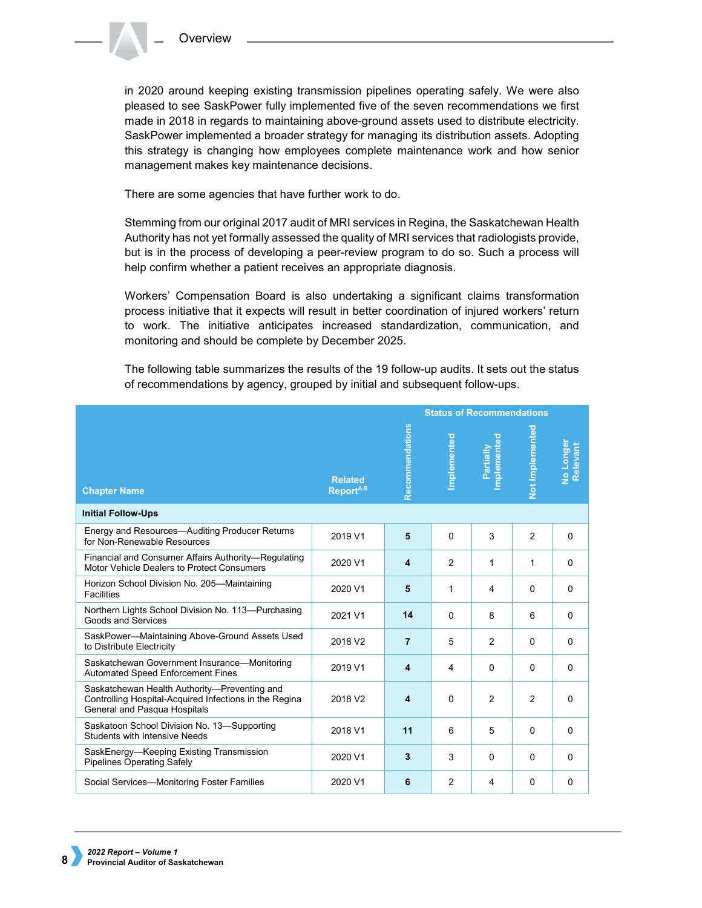in 2020 around keeping existing transmission pipelines operating safely. We were also pleased to see SaskPower fully implemented five of the seven recommendations we first made in 2018 in regards to maintaining above-ground assets used to distribute electricity. SaskPower implemented a broader strategy for managing its distribution assets. Adopting this strategy is changing how employees complete maintenance work and how senior management makes key maintenance decisions.

There are some agencies that have further work to do.

Stemming from our original 2017 audit of MRI services in Regina, the Saskatchewan Health Authority has not yet formally assessed the quality of MRI services that radiologists provide, but is in the process of developing a peer-review program to do so. Such a process will help confirm whether a patient receives an appropriate diagnosis.

Workers' Compensation Board is also undertaking a significant claims transformation process initiative that it expects will result in better coordination of injured workers' return to work. The initiative anticipates increased standardization, communication, and monitoring and should be complete by December 2025.

The following table summarizes the results of the 19 follow-up audits. It sets out the status of recommendations by agency, grouped by initial and subsequent follow-ups.

|                                                                                                                                        |                                         | <b>Status of Recommendations</b> |             |                          |                 |                       |
|----------------------------------------------------------------------------------------------------------------------------------------|-----------------------------------------|----------------------------------|-------------|--------------------------|-----------------|-----------------------|
| <b>Chapter Name</b>                                                                                                                    | <b>Related</b><br>Report <sup>A,B</sup> | Recommendations                  | Implemented | Implemented<br>Partially | Not Implemented | No Longer<br>Relevant |
| <b>Initial Follow-Ups</b>                                                                                                              |                                         |                                  |             |                          |                 |                       |
| Energy and Resources-Auditing Producer Returns<br>for Non-Renewable Resources                                                          | 2019 V1                                 | 5                                | 0           | 3                        | $\overline{2}$  | $\Omega$              |
| Financial and Consumer Affairs Authority-Regulating<br>Motor Vehicle Dealers to Protect Consumers                                      | 2020 V1                                 | 4                                | 2           | 1                        | 1               | $\Omega$              |
| Horizon School Division No. 205-Maintaining<br><b>Facilities</b>                                                                       | 2020 V1                                 | 5                                | 1           | 4                        | 0               | $\Omega$              |
| Northern Lights School Division No. 113-Purchasing<br>Goods and Services                                                               | 2021 V1                                 | 14                               | 0           | 8                        | 6               | $\Omega$              |
| SaskPower-Maintaining Above-Ground Assets Used<br>to Distribute Electricity                                                            | 2018 V2                                 | $\overline{7}$                   | 5           | 2                        | 0               | $\Omega$              |
| Saskatchewan Government Insurance-Monitoring<br><b>Automated Speed Enforcement Fines</b>                                               | 2019 V1                                 | 4                                | 4           | 0                        | 0               | $\Omega$              |
| Saskatchewan Health Authority-Preventing and<br>Controlling Hospital-Acquired Infections in the Regina<br>General and Pasqua Hospitals | 2018 V <sub>2</sub>                     | 4                                | 0           | $\overline{2}$           | $\overline{2}$  | 0                     |
| Saskatoon School Division No. 13-Supporting<br><b>Students with Intensive Needs</b>                                                    | 2018 V1                                 | 11                               | 6           | 5                        | $\Omega$        | 0                     |
| SaskEnergy-Keeping Existing Transmission<br>Pipelines Operating Safely                                                                 | 2020 V1                                 | 3                                | 3           | 0                        | 0               | $\Omega$              |
| Social Services—Monitoring Foster Families                                                                                             | 2020 V1                                 | 6                                | 2           | 4                        | 0               | 0                     |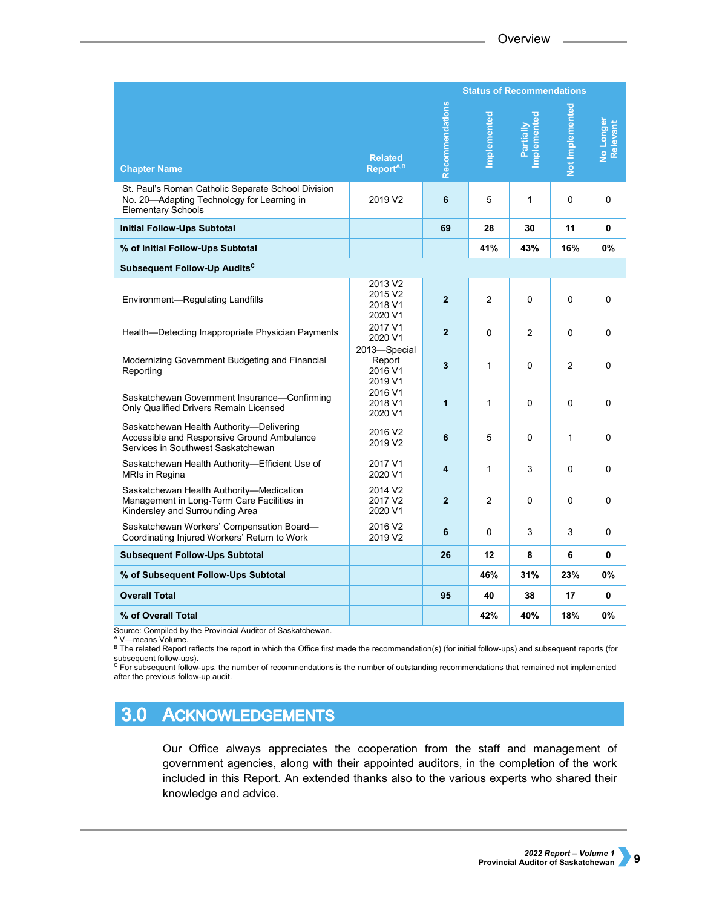|                                                                                                                               |                                                      | <b>Status of Recommendations</b> |                |                          |                 |                       |
|-------------------------------------------------------------------------------------------------------------------------------|------------------------------------------------------|----------------------------------|----------------|--------------------------|-----------------|-----------------------|
| <b>Chapter Name</b>                                                                                                           | <b>Related</b><br>Report <sup>A,B</sup>              | Recommendations                  | mplemented     | Implemented<br>Partially | Not Implemented | No Longer<br>Relevant |
| St. Paul's Roman Catholic Separate School Division<br>No. 20-Adapting Technology for Learning in<br><b>Elementary Schools</b> | 2019 V <sub>2</sub>                                  | 6                                | 5              | 1                        | 0               | $\Omega$              |
| <b>Initial Follow-Ups Subtotal</b>                                                                                            |                                                      | 69                               | 28             | 30                       | 11              | 0                     |
| % of Initial Follow-Ups Subtotal                                                                                              |                                                      |                                  | 41%            | 43%                      | 16%             | 0%                    |
| Subsequent Follow-Up Audits <sup>c</sup>                                                                                      |                                                      |                                  |                |                          |                 |                       |
| Environment-Regulating Landfills                                                                                              | 2013 V2<br>2015 V <sub>2</sub><br>2018 V1<br>2020 V1 | $\overline{2}$                   | $\overline{2}$ | 0                        | 0               | 0                     |
| Health—Detecting Inappropriate Physician Payments                                                                             | 2017 V1<br>2020 V1                                   | $\overline{2}$                   | $\Omega$       | 2                        | 0               | $\Omega$              |
| Modernizing Government Budgeting and Financial<br>Reporting                                                                   | 2013-Special<br>Report<br>2016 V1<br>2019 V1         | 3                                | 1              | 0                        | $\overline{2}$  | 0                     |
| Saskatchewan Government Insurance-Confirming<br>Only Qualified Drivers Remain Licensed                                        | 2016 V1<br>2018 V1<br>2020 V1                        | 1                                | 1              | 0                        | 0               | 0                     |
| Saskatchewan Health Authority-Delivering<br>Accessible and Responsive Ground Ambulance<br>Services in Southwest Saskatchewan  | 2016 V2<br>2019 V <sub>2</sub>                       | 6                                | 5              | 0                        | 1               | 0                     |
| Saskatchewan Health Authority-Efficient Use of<br>MRIs in Regina                                                              | 2017 V1<br>2020 V1                                   | 4                                | 1              | 3                        | $\Omega$        | $\Omega$              |
| Saskatchewan Health Authority-Medication<br>Management in Long-Term Care Facilities in<br>Kindersley and Surrounding Area     | 2014 V2<br>2017 V2<br>2020 V1                        | $\overline{2}$                   | $\mathfrak{p}$ | 0                        | 0               | 0                     |
| Saskatchewan Workers' Compensation Board-<br>Coordinating Injured Workers' Return to Work                                     | 2016 V2<br>2019 V2                                   | 6                                | 0              | 3                        | 3               | $\Omega$              |
| <b>Subsequent Follow-Ups Subtotal</b>                                                                                         |                                                      | 26                               | 12             | 8                        | 6               | 0                     |
| % of Subsequent Follow-Ups Subtotal                                                                                           |                                                      |                                  | 46%            | 31%                      | 23%             | <b>0%</b>             |
| <b>Overall Total</b>                                                                                                          |                                                      | 95                               | 40             | 38                       | 17              | 0                     |
| % of Overall Total                                                                                                            |                                                      |                                  | 42%            | 40%                      | 18%             | 0%                    |

Source: Compiled by the Provincial Auditor of Saskatchewan.<br><sup>A</sup> V—means Volume.

B The related Report reflects the report in which the Office first made the recommendation(s) (for initial follow-ups) and subsequent reports (for subsequent follow-ups).<br><sup>C</sup> For subsequent follow-ups, the number of recommendations is the number of outstanding recommendations that remained not implemented

after the previous follow-up audit.

#### $3.0$ **ACKNOWLEDGEMENTS**

Our Office always appreciates the cooperation from the staff and management of government agencies, along with their appointed auditors, in the completion of the work included in this Report. An extended thanks also to the various experts who shared their knowledge and advice.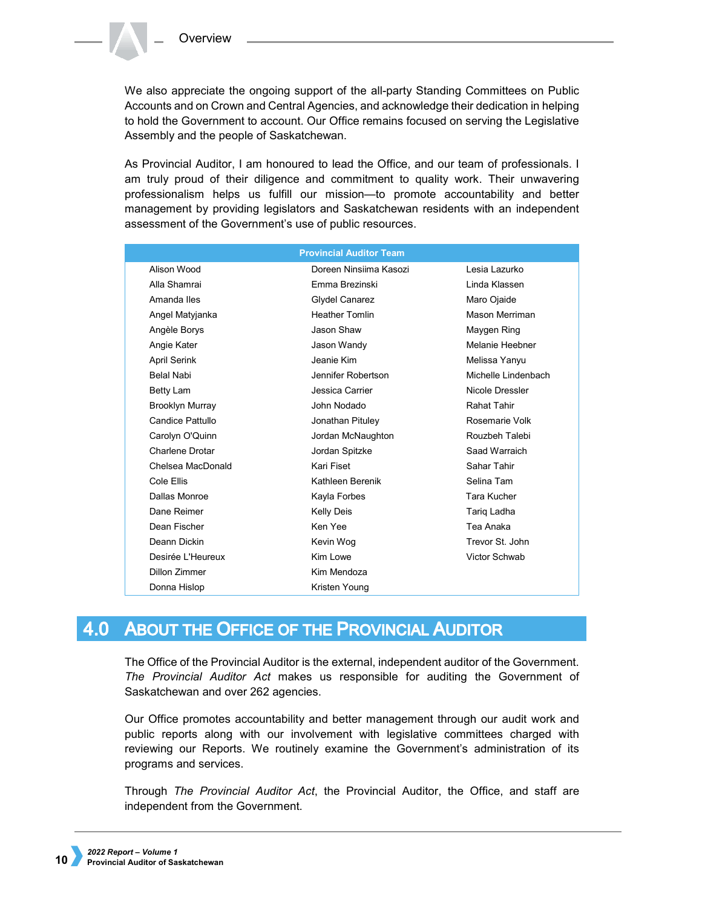We also appreciate the ongoing support of the all-party Standing Committees on Public Accounts and on Crown and Central Agencies, and acknowledge their dedication in helping to hold the Government to account. Our Office remains focused on serving the Legislative Assembly and the people of Saskatchewan.

As Provincial Auditor, I am honoured to lead the Office, and our team of professionals. I am truly proud of their diligence and commitment to quality work. Their unwavering professionalism helps us fulfill our mission—to promote accountability and better management by providing legislators and Saskatchewan residents with an independent assessment of the Government's use of public resources.

|                        | <b>Provincial Auditor Team</b> |                     |
|------------------------|--------------------------------|---------------------|
| Alison Wood            | Doreen Ninsiima Kasozi         | Lesia Lazurko       |
| Alla Shamrai           | <b>Emma Brezinski</b>          | Linda Klassen       |
| Amanda Iles            | <b>Glydel Canarez</b>          | Maro Ojaide         |
| Angel Matyjanka        | <b>Heather Tomlin</b>          | Mason Merriman      |
| Angèle Borys           | Jason Shaw                     | Maygen Ring         |
| Angie Kater            | Jason Wandy                    | Melanie Heebner     |
| <b>April Serink</b>    | Jeanie Kim                     | Melissa Yanyu       |
| <b>Belal Nabi</b>      | Jennifer Robertson             | Michelle Lindenbach |
| Betty Lam              | Jessica Carrier                | Nicole Dressler     |
| <b>Brooklyn Murray</b> | John Nodado                    | <b>Rahat Tahir</b>  |
| Candice Pattullo       | Jonathan Pituley               | Rosemarie Volk      |
| Carolyn O'Quinn        | Jordan McNaughton              | Rouzbeh Talebi      |
| Charlene Drotar        | Jordan Spitzke                 | Saad Warraich       |
| Chelsea MacDonald      | Kari Fiset                     | Sahar Tahir         |
| Cole Ellis             | Kathleen Berenik               | Selina Tam          |
| Dallas Monroe          | Kayla Forbes                   | Tara Kucher         |
| Dane Reimer            | <b>Kelly Deis</b>              | Tariq Ladha         |
| Dean Fischer           | Ken Yee                        | Tea Anaka           |
| Deann Dickin           | Kevin Wog                      | Trevor St. John     |
| Desirée L'Heureux      | Kim Lowe                       | Victor Schwab       |
| Dillon Zimmer          | Kim Mendoza                    |                     |
| Donna Hislop           | Kristen Young                  |                     |

#### $4.0$ **ABOUT THE OFFICE OF THE PROVINCIAL AUDITOR**

The Office of the Provincial Auditor is the external, independent auditor of the Government. *The Provincial Auditor Act* makes us responsible for auditing the Government of Saskatchewan and over 262 agencies.

Our Office promotes accountability and better management through our audit work and public reports along with our involvement with legislative committees charged with reviewing our Reports. We routinely examine the Government's administration of its programs and services.

Through *The Provincial Auditor Act*, the Provincial Auditor, the Office, and staff are independent from the Government.